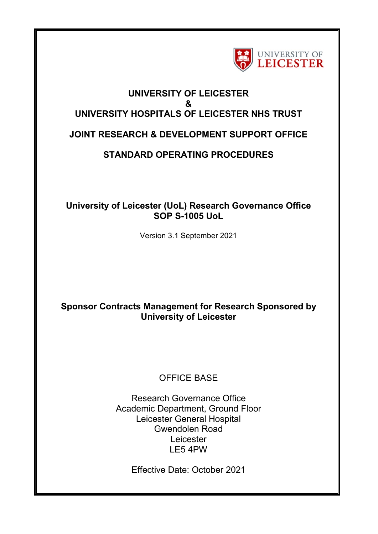

# **UNIVERSITY OF LEICESTER & UNIVERSITY HOSPITALS OF LEICESTER NHS TRUST**

## **JOINT RESEARCH & DEVELOPMENT SUPPORT OFFICE**

# **STANDARD OPERATING PROCEDURES**

### **University of Leicester (UoL) Research Governance Office SOP S-1005 UoL**

Version 3.1 September 2021

## **Sponsor Contracts Management for Research Sponsored by University of Leicester**

## OFFICE BASE

Research Governance Office Academic Department, Ground Floor Leicester General Hospital Gwendolen Road Leicester LE5 4PW

Effective Date: October 2021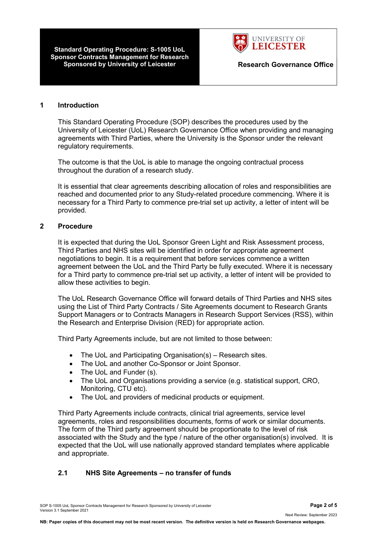**Standard Operating Procedure: S-1005 UoL Sponsor Contracts Management for Research Sponsored by University of Leicester <b>Research Governance Office** 



#### **1 Introduction**

This Standard Operating Procedure (SOP) describes the procedures used by the University of Leicester (UoL) Research Governance Office when providing and managing agreements with Third Parties, where the University is the Sponsor under the relevant regulatory requirements.

The outcome is that the UoL is able to manage the ongoing contractual process throughout the duration of a research study.

It is essential that clear agreements describing allocation of roles and responsibilities are reached and documented prior to any Study-related procedure commencing. Where it is necessary for a Third Party to commence pre-trial set up activity, a letter of intent will be provided.

#### **2 Procedure**

It is expected that during the UoL Sponsor Green Light and Risk Assessment process, Third Parties and NHS sites will be identified in order for appropriate agreement negotiations to begin. It is a requirement that before services commence a written agreement between the UoL and the Third Party be fully executed. Where it is necessary for a Third party to commence pre-trial set up activity, a letter of intent will be provided to allow these activities to begin.

The UoL Research Governance Office will forward details of Third Parties and NHS sites using the List of Third Party Contracts / Site Agreements document to Research Grants Support Managers or to Contracts Managers in Research Support Services (RSS), within the Research and Enterprise Division (RED) for appropriate action.

Third Party Agreements include, but are not limited to those between:

- The UoL and Participating Organisation(s) Research sites.
- The UoL and another Co-Sponsor or Joint Sponsor.
- The UoL and Funder (s).
- The UoL and Organisations providing a service (e.g. statistical support, CRO, Monitoring, CTU etc).
- The UoL and providers of medicinal products or equipment.

Third Party Agreements include contracts, clinical trial agreements, service level agreements, roles and responsibilities documents, forms of work or similar documents. The form of the Third party agreement should be proportionate to the level of risk associated with the Study and the type / nature of the other organisation(s) involved. It is expected that the UoL will use nationally approved standard templates where applicable and appropriate.

#### **2.1 NHS Site Agreements – no transfer of funds**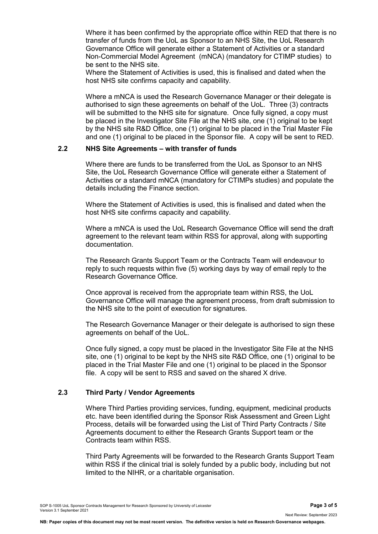Where it has been confirmed by the appropriate office within RED that there is no transfer of funds from the UoL as Sponsor to an NHS Site, the UoL Research Governance Office will generate either a Statement of Activities or a standard Non-Commercial Model Agreement (mNCA) (mandatory for CTIMP studies) to be sent to the NHS site.

Where the Statement of Activities is used, this is finalised and dated when the host NHS site confirms capacity and capability.

Where a mNCA is used the Research Governance Manager or their delegate is authorised to sign these agreements on behalf of the UoL. Three (3) contracts will be submitted to the NHS site for signature. Once fully signed, a copy must be placed in the Investigator Site File at the NHS site, one (1) original to be kept by the NHS site R&D Office, one (1) original to be placed in the Trial Master File and one (1) original to be placed in the Sponsor file. A copy will be sent to RED.

#### **2.2 NHS Site Agreements – with transfer of funds**

Where there are funds to be transferred from the UoL as Sponsor to an NHS Site, the UoL Research Governance Office will generate either a Statement of Activities or a standard mNCA (mandatory for CTIMPs studies) and populate the details including the Finance section.

Where the Statement of Activities is used, this is finalised and dated when the host NHS site confirms capacity and capability.

Where a mNCA is used the UoL Research Governance Office will send the draft agreement to the relevant team within RSS for approval, along with supporting documentation.

The Research Grants Support Team or the Contracts Team will endeavour to reply to such requests within five (5) working days by way of email reply to the Research Governance Office.

Once approval is received from the appropriate team within RSS, the UoL Governance Office will manage the agreement process, from draft submission to the NHS site to the point of execution for signatures.

The Research Governance Manager or their delegate is authorised to sign these agreements on behalf of the UoL.

Once fully signed, a copy must be placed in the Investigator Site File at the NHS site, one (1) original to be kept by the NHS site R&D Office, one (1) original to be placed in the Trial Master File and one (1) original to be placed in the Sponsor file. A copy will be sent to RSS and saved on the shared X drive.

#### **2.3 Third Party / Vendor Agreements**

Where Third Parties providing services, funding, equipment, medicinal products etc. have been identified during the Sponsor Risk Assessment and Green Light Process, details will be forwarded using the List of Third Party Contracts / Site Agreements document to either the Research Grants Support team or the Contracts team within RSS.

Third Party Agreements will be forwarded to the Research Grants Support Team within RSS if the clinical trial is solely funded by a public body, including but not limited to the NIHR, or a charitable organisation.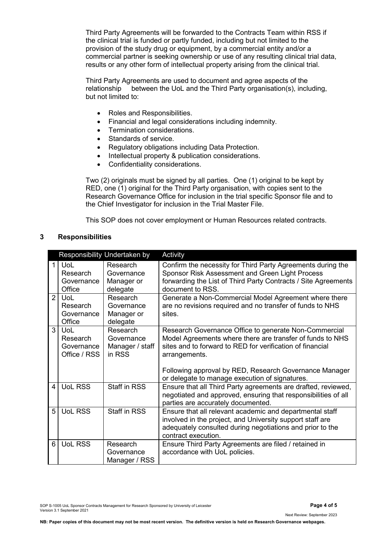Third Party Agreements will be forwarded to the Contracts Team within RSS if the clinical trial is funded or partly funded, including but not limited to the provision of the study drug or equipment, by a commercial entity and/or a commercial partner is seeking ownership or use of any resulting clinical trial data, results or any other form of intellectual property arising from the clinical trial.

Third Party Agreements are used to document and agree aspects of the relationship between the UoL and the Third Party organisation(s), including, but not limited to:

- Roles and Responsibilities.
- Financial and legal considerations including indemnity.
- Termination considerations.
- Standards of service.
- Regulatory obligations including Data Protection.
- Intellectual property & publication considerations.
- Confidentiality considerations.

Two (2) originals must be signed by all parties. One (1) original to be kept by RED, one (1) original for the Third Party organisation, with copies sent to the Research Governance Office for inclusion in the trial specific Sponsor file and to the Chief Investigator for inclusion in the Trial Master File.

This SOP does not cover employment or Human Resources related contracts.

#### **3 Responsibilities**

|                |                                               | Responsibility Undertaken by                        | Activity                                                                                                                                                                                                                                                   |
|----------------|-----------------------------------------------|-----------------------------------------------------|------------------------------------------------------------------------------------------------------------------------------------------------------------------------------------------------------------------------------------------------------------|
| $\mathbf{1}$   | UoL<br>Research<br>Governance<br>Office       | Research<br>Governance<br>Manager or<br>delegate    | Confirm the necessity for Third Party Agreements during the<br>Sponsor Risk Assessment and Green Light Process<br>forwarding the List of Third Party Contracts / Site Agreements<br>document to RSS.                                                       |
| $\overline{2}$ | UoL<br>Research<br>Governance<br>Office       | Research<br>Governance<br>Manager or<br>delegate    | Generate a Non-Commercial Model Agreement where there<br>are no revisions required and no transfer of funds to NHS<br>sites.                                                                                                                               |
| $\mathcal{S}$  | UoL<br>Research<br>Governance<br>Office / RSS | Research<br>Governance<br>Manager / staff<br>in RSS | Research Governance Office to generate Non-Commercial<br>Model Agreements where there are transfer of funds to NHS<br>sites and to forward to RED for verification of financial<br>arrangements.<br>Following approval by RED, Research Governance Manager |
| 4              | <b>UoL RSS</b>                                | <b>Staff in RSS</b>                                 | or delegate to manage execution of signatures.<br>Ensure that all Third Party agreements are drafted, reviewed,<br>negotiated and approved, ensuring that responsibilities of all<br>parties are accurately documented.                                    |
| 5              | <b>UoL RSS</b>                                | <b>Staff in RSS</b>                                 | Ensure that all relevant academic and departmental staff<br>involved in the project, and University support staff are<br>adequately consulted during negotiations and prior to the<br>contract execution.                                                  |
| 6              | <b>UoL RSS</b>                                | Research<br>Governance<br>Manager / RSS             | Ensure Third Party Agreements are filed / retained in<br>accordance with UoL policies.                                                                                                                                                                     |